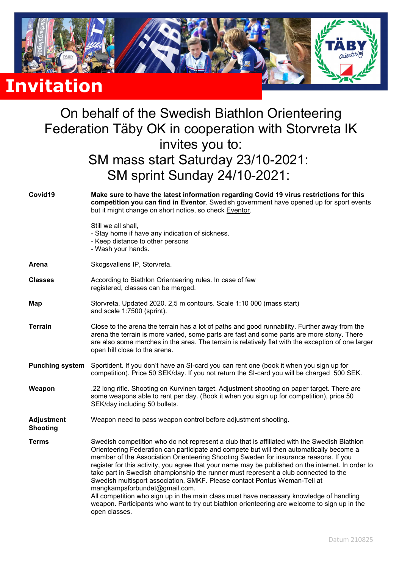

## On behalf of the Swedish Biathlon Orienteering Federation Täby OK in cooperation with Storvreta IK invites you to: SM mass start Saturday 23/10-2021: SM sprint Sunday 24/10-2021:

| Covid19                              | Make sure to have the latest information regarding Covid 19 virus restrictions for this<br>competition you can find in Eventor. Swedish government have opened up for sport events<br>but it might change on short notice, so check Eventor.                                                                                                                                                                                                                                                                                                                                                                                                                                                                                                                                                            |  |  |
|--------------------------------------|---------------------------------------------------------------------------------------------------------------------------------------------------------------------------------------------------------------------------------------------------------------------------------------------------------------------------------------------------------------------------------------------------------------------------------------------------------------------------------------------------------------------------------------------------------------------------------------------------------------------------------------------------------------------------------------------------------------------------------------------------------------------------------------------------------|--|--|
|                                      | Still we all shall,<br>- Stay home if have any indication of sickness.<br>- Keep distance to other persons<br>- Wash your hands.                                                                                                                                                                                                                                                                                                                                                                                                                                                                                                                                                                                                                                                                        |  |  |
| Arena                                | Skogsvallens IP, Storvreta.                                                                                                                                                                                                                                                                                                                                                                                                                                                                                                                                                                                                                                                                                                                                                                             |  |  |
| <b>Classes</b>                       | According to Biathlon Orienteering rules. In case of few<br>registered, classes can be merged.                                                                                                                                                                                                                                                                                                                                                                                                                                                                                                                                                                                                                                                                                                          |  |  |
| Map                                  | Storvreta. Updated 2020. 2,5 m contours. Scale 1:10 000 (mass start)<br>and scale 1:7500 (sprint).                                                                                                                                                                                                                                                                                                                                                                                                                                                                                                                                                                                                                                                                                                      |  |  |
| <b>Terrain</b>                       | Close to the arena the terrain has a lot of paths and good runnability. Further away from the<br>arena the terrain is more varied, some parts are fast and some parts are more stony. There<br>are also some marches in the area. The terrain is relatively flat with the exception of one larger<br>open hill close to the arena.                                                                                                                                                                                                                                                                                                                                                                                                                                                                      |  |  |
| <b>Punching system</b>               | Sportident. If you don't have an SI-card you can rent one (book it when you sign up for<br>competition). Price 50 SEK/day. If you not return the SI-card you will be charged 500 SEK.                                                                                                                                                                                                                                                                                                                                                                                                                                                                                                                                                                                                                   |  |  |
| Weapon                               | .22 long rifle. Shooting on Kurvinen target. Adjustment shooting on paper target. There are<br>some weapons able to rent per day. (Book it when you sign up for competition), price 50<br>SEK/day including 50 bullets.                                                                                                                                                                                                                                                                                                                                                                                                                                                                                                                                                                                 |  |  |
| <b>Adjustment</b><br><b>Shooting</b> | Weapon need to pass weapon control before adjustment shooting.                                                                                                                                                                                                                                                                                                                                                                                                                                                                                                                                                                                                                                                                                                                                          |  |  |
| <b>Terms</b>                         | Swedish competition who do not represent a club that is affiliated with the Swedish Biathlon<br>Orienteering Federation can participate and compete but will then automatically become a<br>member of the Association Orienteering Shooting Sweden for insurance reasons. If you<br>register for this activity, you agree that your name may be published on the internet. In order to<br>take part in Swedish championship the runner must represent a club connected to the<br>Swedish multisport association, SMKF. Please contact Pontus Weman-Tell at<br>mangkampsforbundet@gmail.com.<br>All competition who sign up in the main class must have necessary knowledge of handling<br>weapon. Participants who want to try out biathlon orienteering are welcome to sign up in the<br>open classes. |  |  |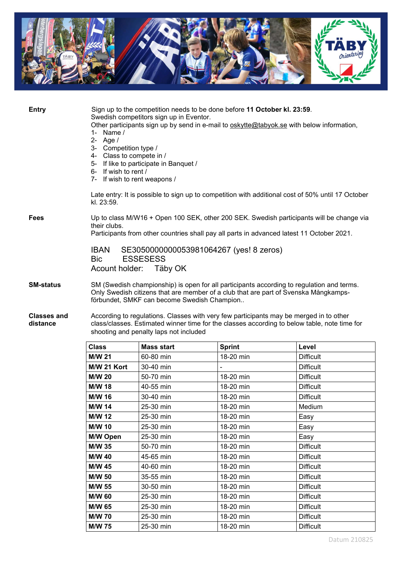

| <b>Entry</b>                   | Sign up to the competition needs to be done before 11 October kl. 23:59.<br>Swedish competitors sign up in Eventor.<br>Other participants sign up by send in e-mail to oskytte@tabyok.se with below information,<br>1- Name $/$<br>$2 -$<br>Age /<br>3- Competition type /<br>4- Class to compete in /<br>5- If like to participate in Banquet /<br>6- If wish to rent /<br>7- If wish to rent weapons /<br>Late entry: It is possible to sign up to competition with additional cost of 50% until 17 October<br>kl. 23:59. |  |
|--------------------------------|-----------------------------------------------------------------------------------------------------------------------------------------------------------------------------------------------------------------------------------------------------------------------------------------------------------------------------------------------------------------------------------------------------------------------------------------------------------------------------------------------------------------------------|--|
| <b>Fees</b>                    | Up to class M/W16 + Open 100 SEK, other 200 SEK. Swedish participants will be change via<br>their clubs.<br>Participants from other countries shall pay all parts in advanced latest 11 October 2021.                                                                                                                                                                                                                                                                                                                       |  |
|                                | SE3050000000053981064267 (yes! 8 zeros)<br><b>IBAN</b><br>Bic.<br><b>ESSESESS</b><br>Acount holder:<br>Täby OK                                                                                                                                                                                                                                                                                                                                                                                                              |  |
| <b>SM-status</b>               | SM (Swedish championship) is open for all participants according to regulation and terms.<br>Only Swedish citizens that are member of a club that are part of Svenska Mångkamps-<br>förbundet, SMKF can become Swedish Champion                                                                                                                                                                                                                                                                                             |  |
| <b>Classes and</b><br>distance | According to regulations. Classes with very few participants may be merged in to other<br>class/classes. Estimated winner time for the classes according to below table, note time for<br>shooting and penalty laps not included                                                                                                                                                                                                                                                                                            |  |

| <b>Class</b>    | <b>Mass start</b> | <b>Sprint</b> | Level            |
|-----------------|-------------------|---------------|------------------|
| <b>M/W 21</b>   | 60-80 min         | 18-20 min     | <b>Difficult</b> |
| M/W 21 Kort     | 30-40 min         |               | <b>Difficult</b> |
| <b>M/W 20</b>   | 50-70 min         | 18-20 min     | <b>Difficult</b> |
| <b>M/W 18</b>   | 40-55 min         | 18-20 min     | <b>Difficult</b> |
| M/W 16          | 30-40 min         | 18-20 min     | <b>Difficult</b> |
| <b>M/W 14</b>   | 25-30 min         | 18-20 min     | Medium           |
| <b>M/W 12</b>   | 25-30 min         | 18-20 min     | Easy             |
| <b>M/W 10</b>   | 25-30 min         | 18-20 min     | Easy             |
| <b>M/W Open</b> | 25-30 min         | 18-20 min     | Easy             |
| M/W 35          | 50-70 min         | 18-20 min     | <b>Difficult</b> |
| <b>M/W 40</b>   | 45-65 min         | 18-20 min     | <b>Difficult</b> |
| <b>M/W 45</b>   | 40-60 min         | 18-20 min     | <b>Difficult</b> |
| <b>M/W 50</b>   | 35-55 min         | 18-20 min     | <b>Difficult</b> |
| M/W 55          | 30-50 min         | 18-20 min     | <b>Difficult</b> |
| <b>M/W 60</b>   | 25-30 min         | 18-20 min     | <b>Difficult</b> |
| M/W 65          | 25-30 min         | 18-20 min     | <b>Difficult</b> |
| <b>M/W 70</b>   | 25-30 min         | 18-20 min     | <b>Difficult</b> |
| <b>M/W 75</b>   | 25-30 min         | 18-20 min     | <b>Difficult</b> |